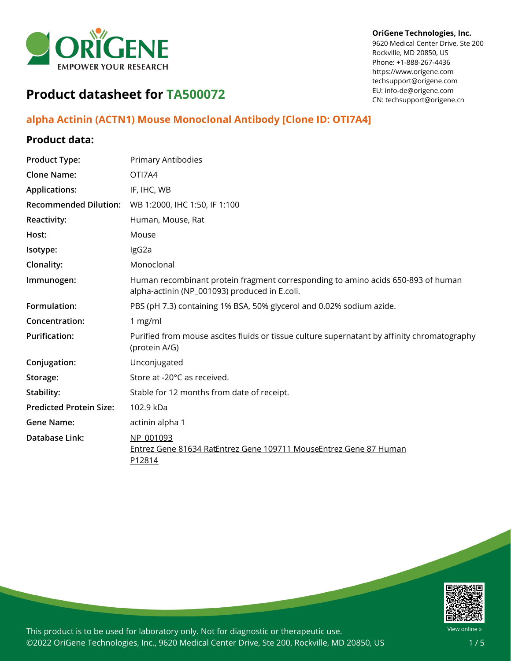

#### **OriGene Technologies, Inc.**

9620 Medical Center Drive, Ste 200 Rockville, MD 20850, US Phone: +1-888-267-4436 https://www.origene.com techsupport@origene.com EU: info-de@origene.com CN: techsupport@origene.cn

# **Product datasheet for TA500072**

# **alpha Actinin (ACTN1) Mouse Monoclonal Antibody [Clone ID: OTI7A4]**

## **Product data:**

| <b>Product Type:</b>           | <b>Primary Antibodies</b>                                                                                                         |
|--------------------------------|-----------------------------------------------------------------------------------------------------------------------------------|
| <b>Clone Name:</b>             | OTI7A4                                                                                                                            |
| <b>Applications:</b>           | IF, IHC, WB                                                                                                                       |
| <b>Recommended Dilution:</b>   | WB 1:2000, IHC 1:50, IF 1:100                                                                                                     |
| <b>Reactivity:</b>             | Human, Mouse, Rat                                                                                                                 |
| Host:                          | Mouse                                                                                                                             |
| Isotype:                       | IgG2a                                                                                                                             |
| Clonality:                     | Monoclonal                                                                                                                        |
| Immunogen:                     | Human recombinant protein fragment corresponding to amino acids 650-893 of human<br>alpha-actinin (NP_001093) produced in E.coli. |
| Formulation:                   | PBS (pH 7.3) containing 1% BSA, 50% glycerol and 0.02% sodium azide.                                                              |
| Concentration:                 | 1 mg/ml                                                                                                                           |
| <b>Purification:</b>           | Purified from mouse ascites fluids or tissue culture supernatant by affinity chromatography<br>(protein A/G)                      |
| Conjugation:                   | Unconjugated                                                                                                                      |
| Storage:                       | Store at -20°C as received.                                                                                                       |
| Stability:                     | Stable for 12 months from date of receipt.                                                                                        |
| <b>Predicted Protein Size:</b> | 102.9 kDa                                                                                                                         |
| <b>Gene Name:</b>              | actinin alpha 1                                                                                                                   |
| Database Link:                 | NP 001093<br>Entrez Gene 81634 RatEntrez Gene 109711 MouseEntrez Gene 87 Human<br>P12814                                          |

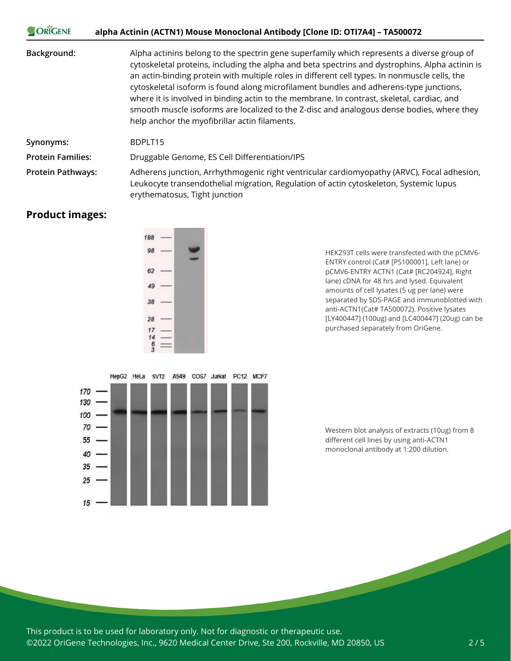| <b>ORIGENE</b>           | alpha Actinin (ACTN1) Mouse Monoclonal Antibody [Clone ID: OTI7A4] - TA500072                                                                                                                                                                                                                                                                                                                                                                                                                                                                                                                                                        |
|--------------------------|--------------------------------------------------------------------------------------------------------------------------------------------------------------------------------------------------------------------------------------------------------------------------------------------------------------------------------------------------------------------------------------------------------------------------------------------------------------------------------------------------------------------------------------------------------------------------------------------------------------------------------------|
| Background:              | Alpha actinins belong to the spectrin gene superfamily which represents a diverse group of<br>cytoskeletal proteins, including the alpha and beta spectrins and dystrophins. Alpha actinin is<br>an actin-binding protein with multiple roles in different cell types. In nonmuscle cells, the<br>cytoskeletal isoform is found along microfilament bundles and adherens-type junctions,<br>where it is involved in binding actin to the membrane. In contrast, skeletal, cardiac, and<br>smooth muscle isoforms are localized to the Z-disc and analogous dense bodies, where they<br>help anchor the myofibrillar actin filaments. |
| Synonyms:                | BDPLT15                                                                                                                                                                                                                                                                                                                                                                                                                                                                                                                                                                                                                              |
| <b>Protein Families:</b> | Druggable Genome, ES Cell Differentiation/IPS                                                                                                                                                                                                                                                                                                                                                                                                                                                                                                                                                                                        |
| <b>Protein Pathways:</b> | Adherens junction, Arrhythmogenic right ventricular cardiomyopathy (ARVC), Focal adhesion,<br>Leukocyte transendothelial migration, Regulation of actin cytoskeleton, Systemic lupus<br>erythematosus, Tight junction                                                                                                                                                                                                                                                                                                                                                                                                                |

### **Product images:**

 $15$ 



HepG2 HeLa SVT2 A549 COS7 Jurkat PC12 MCF7

HEK293T cells were transfected with the pCMV6- ENTRY control (Cat# [PS100001], Left lane) or pCMV6-ENTRY ACTN1 (Cat# [RC204924], Right lane) cDNA for 48 hrs and lysed. Equivalent amounts of cell lysates (5 ug per lane) were separated by SDS-PAGE and immunoblotted with anti-ACTN1(Cat# TA500072). Positive lysates [LY400447] (100ug) and [LC400447] (20ug) can be purchased separately from OriGene.



This product is to be used for laboratory only. Not for diagnostic or therapeutic use. ©2022 OriGene Technologies, Inc., 9620 Medical Center Drive, Ste 200, Rockville, MD 20850, US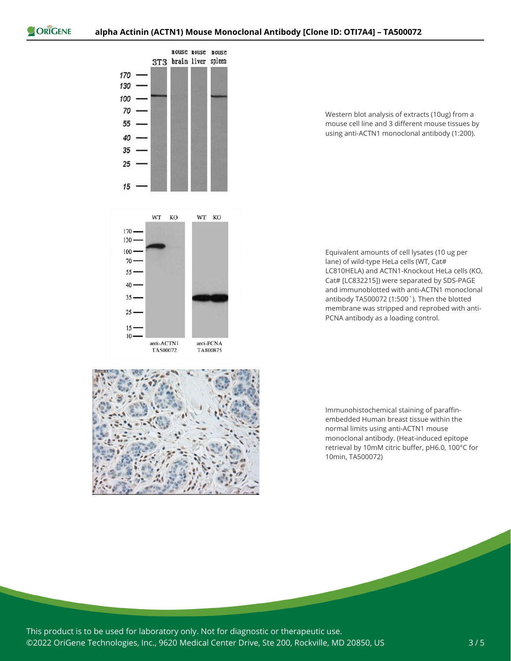

Western blot analysis of extracts (10ug) from a mouse cell line and 3 different mouse tissues by using anti-ACTN1 monoclonal antibody (1:200).

Equivalent amounts of cell lysates (10 ug per lane) of wild-type HeLa cells (WT, Cat# LC810HELA) and ACTN1-Knockout HeLa cells (KO, Cat# [LC832215]) were separated by SDS-PAGE and immunoblotted with anti-ACTN1 monoclonal antibody TA500072 (1:500`). Then the blotted membrane was stripped and reprobed with anti-PCNA antibody as a loading control.



Immunohistochemical staining of paraffinembedded Human breast tissue within the normal limits using anti-ACTN1 mouse monoclonal antibody. (Heat-induced epitope retrieval by 10mM citric buffer, pH6.0, 100°C for 10min, TA500072)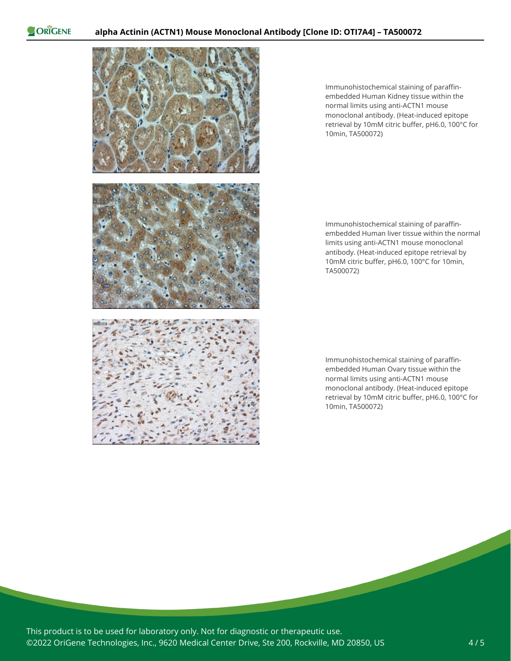ORIGENE



Immunohistochemical staining of paraffinembedded Human Kidney tissue within the normal limits using anti-ACTN1 mouse monoclonal antibody. (Heat-induced epitope retrieval by 10mM citric buffer, pH6.0, 100°C for 10min, TA500072)

Immunohistochemical staining of paraffinembedded Human liver tissue within the normal limits using anti-ACTN1 mouse monoclonal antibody. (Heat-induced epitope retrieval by 10mM citric buffer, pH6.0, 100°C for 10min, TA500072)

Immunohistochemical staining of paraffinembedded Human Ovary tissue within the normal limits using anti-ACTN1 mouse monoclonal antibody. (Heat-induced epitope retrieval by 10mM citric buffer, pH6.0, 100°C for 10min, TA500072)